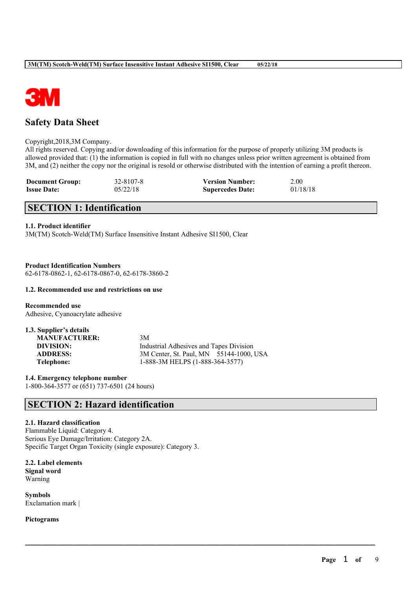

# **Safety Data Sheet**

#### Copyright,2018,3M Company.

All rights reserved. Copying and/or downloading of this information for the purpose of properly utilizing 3M products is allowed provided that: (1) the information is copied in full with no changes unless prior written agreement is obtained from 3M, and (2) neither the copy nor the original is resold or otherwise distributed with the intention of earning a profit thereon.

 $\mathcal{L}_\mathcal{L} = \mathcal{L}_\mathcal{L} = \mathcal{L}_\mathcal{L} = \mathcal{L}_\mathcal{L} = \mathcal{L}_\mathcal{L} = \mathcal{L}_\mathcal{L} = \mathcal{L}_\mathcal{L} = \mathcal{L}_\mathcal{L} = \mathcal{L}_\mathcal{L} = \mathcal{L}_\mathcal{L} = \mathcal{L}_\mathcal{L} = \mathcal{L}_\mathcal{L} = \mathcal{L}_\mathcal{L} = \mathcal{L}_\mathcal{L} = \mathcal{L}_\mathcal{L} = \mathcal{L}_\mathcal{L} = \mathcal{L}_\mathcal{L}$ 

| <b>Document Group:</b> | 32-8107-8 | <b>Version Number:</b>  | 2.00     |
|------------------------|-----------|-------------------------|----------|
| <b>Issue Date:</b>     | 05/22/18  | <b>Supercedes Date:</b> | 01/18/18 |

# **SECTION 1: Identification**

## **1.1. Product identifier**

3M(TM) Scotch-Weld(TM) Surface Insensitive Instant Adhesive SI1500, Clear

**Product Identification Numbers** 62-6178-0862-1, 62-6178-0867-0, 62-6178-3860-2

## **1.2. Recommended use and restrictions on use**

**Recommended use** Adhesive, Cyanoacrylate adhesive

| 1.3. Supplier's details |                                         |  |
|-------------------------|-----------------------------------------|--|
| <b>MANUFACTURER:</b>    | 3M                                      |  |
| DIVISION:               | Industrial Adhesives and Tapes Division |  |
| <b>ADDRESS:</b>         | 3M Center, St. Paul, MN 55144-1000, USA |  |
| Telephone:              | 1-888-3M HELPS (1-888-364-3577)         |  |
|                         |                                         |  |

**1.4. Emergency telephone number** 1-800-364-3577 or (651) 737-6501 (24 hours)

# **SECTION 2: Hazard identification**

## **2.1. Hazard classification**

Flammable Liquid: Category 4. Serious Eye Damage/Irritation: Category 2A. Specific Target Organ Toxicity (single exposure): Category 3.

**2.2. Label elements Signal word** Warning

**Symbols** Exclamation mark |

**Pictograms**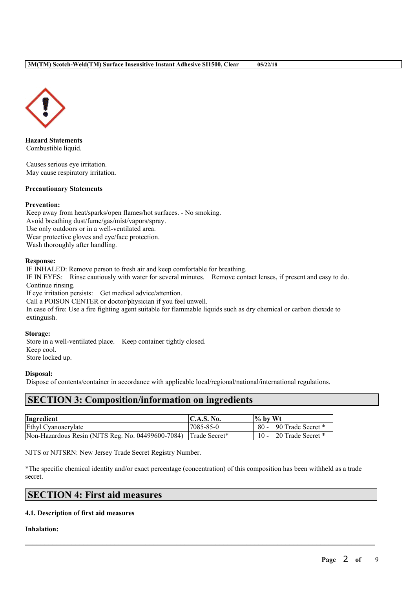

**Hazard Statements** Combustible liquid.

Causes serious eye irritation. May cause respiratory irritation.

## **Precautionary Statements**

## **Prevention:**

Keep away from heat/sparks/open flames/hot surfaces. - No smoking. Avoid breathing dust/fume/gas/mist/vapors/spray. Use only outdoors or in a well-ventilated area. Wear protective gloves and eye/face protection. Wash thoroughly after handling.

#### **Response:**

IF INHALED: Remove person to fresh air and keep comfortable for breathing. IF IN EYES: Rinse cautiously with water for several minutes. Remove contact lenses, if present and easy to do. Continue rinsing. If eye irritation persists: Get medical advice/attention. Call a POISON CENTER or doctor/physician if you feel unwell. In case of fire: Use a fire fighting agent suitable for flammable liquids such as dry chemical or carbon dioxide to extinguish.

#### **Storage:**

Store in a well-ventilated place. Keep container tightly closed. Keep cool. Store locked up.

## **Disposal:**

Dispose of contents/container in accordance with applicable local/regional/national/international regulations.

## **SECTION 3: Composition/information on ingredients**

| Ingredient                                                      | <b>C.A.S. No.</b> | $\frac{1}{6}$ by Wt         |
|-----------------------------------------------------------------|-------------------|-----------------------------|
| Ethyl Cyanoacrylate                                             | 7085-85-0         | 80 - 90 Trade Secret *      |
| Non-Hazardous Resin (NJTS Reg. No. 04499600-7084) Trade Secret* |                   | 20 Trade Secret *<br>$10 -$ |

NJTS or NJTSRN: New Jersey Trade Secret Registry Number.

\*The specific chemical identity and/or exact percentage (concentration) of this composition has been withheld as a trade secret.

 $\mathcal{L}_\mathcal{L} = \mathcal{L}_\mathcal{L} = \mathcal{L}_\mathcal{L} = \mathcal{L}_\mathcal{L} = \mathcal{L}_\mathcal{L} = \mathcal{L}_\mathcal{L} = \mathcal{L}_\mathcal{L} = \mathcal{L}_\mathcal{L} = \mathcal{L}_\mathcal{L} = \mathcal{L}_\mathcal{L} = \mathcal{L}_\mathcal{L} = \mathcal{L}_\mathcal{L} = \mathcal{L}_\mathcal{L} = \mathcal{L}_\mathcal{L} = \mathcal{L}_\mathcal{L} = \mathcal{L}_\mathcal{L} = \mathcal{L}_\mathcal{L}$ 

## **SECTION 4: First aid measures**

## **4.1. Description of first aid measures**

## **Inhalation:**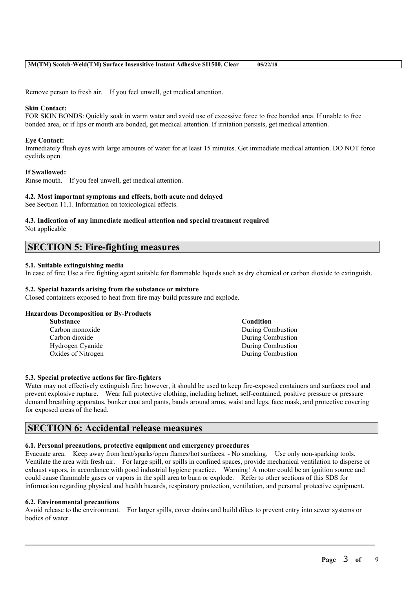Remove person to fresh air. If you feel unwell, get medical attention.

## **Skin Contact:**

FOR SKIN BONDS: Quickly soak in warm water and avoid use of excessive force to free bonded area. If unable to free bonded area, or if lips or mouth are bonded, get medical attention. If irritation persists, get medical attention.

#### **Eye Contact:**

Immediately flush eyes with large amounts of water for at least 15 minutes. Get immediate medical attention. DO NOT force eyelids open.

## **If Swallowed:**

Rinse mouth. If you feel unwell, get medical attention.

## **4.2. Most important symptoms and effects, both acute and delayed**

See Section 11.1. Information on toxicological effects.

# **4.3. Indication of any immediate medical attention and special treatment required**

Not applicable

## **SECTION 5: Fire-fighting measures**

## **5.1. Suitable extinguishing media**

In case of fire: Use a fire fighting agent suitable for flammable liquids such as dry chemical or carbon dioxide to extinguish.

## **5.2. Special hazards arising from the substance or mixture**

Closed containers exposed to heat from fire may build pressure and explode.

## **Hazardous Decomposition or By-Products**

| <b>Substance</b>   | Condition         |
|--------------------|-------------------|
| Carbon monoxide    | During Combustion |
| Carbon dioxide     | During Combustion |
| Hydrogen Cyanide   | During Combustion |
| Oxides of Nitrogen | During Combustion |
|                    |                   |

#### **5.3. Special protective actions for fire-fighters**

Water may not effectively extinguish fire; however, it should be used to keep fire-exposed containers and surfaces cool and prevent explosive rupture. Wear full protective clothing, including helmet, self-contained, positive pressure or pressure demand breathing apparatus, bunker coat and pants, bands around arms, waist and legs, face mask, and protective covering for exposed areas of the head.

## **SECTION 6: Accidental release measures**

## **6.1. Personal precautions, protective equipment and emergency procedures**

Evacuate area. Keep away from heat/sparks/open flames/hot surfaces. - No smoking. Use only non-sparking tools. Ventilate the area with fresh air. For large spill, or spills in confined spaces, provide mechanical ventilation to disperse or exhaust vapors, in accordance with good industrial hygiene practice. Warning! A motor could be an ignition source and could cause flammable gases or vapors in the spill area to burn or explode. Refer to other sections of this SDS for information regarding physical and health hazards, respiratory protection, ventilation, and personal protective equipment.

#### **6.2. Environmental precautions**

Avoid release to the environment. For larger spills, cover drains and build dikes to prevent entry into sewer systems or bodies of water.

 $\mathcal{L}_\mathcal{L} = \mathcal{L}_\mathcal{L} = \mathcal{L}_\mathcal{L} = \mathcal{L}_\mathcal{L} = \mathcal{L}_\mathcal{L} = \mathcal{L}_\mathcal{L} = \mathcal{L}_\mathcal{L} = \mathcal{L}_\mathcal{L} = \mathcal{L}_\mathcal{L} = \mathcal{L}_\mathcal{L} = \mathcal{L}_\mathcal{L} = \mathcal{L}_\mathcal{L} = \mathcal{L}_\mathcal{L} = \mathcal{L}_\mathcal{L} = \mathcal{L}_\mathcal{L} = \mathcal{L}_\mathcal{L} = \mathcal{L}_\mathcal{L}$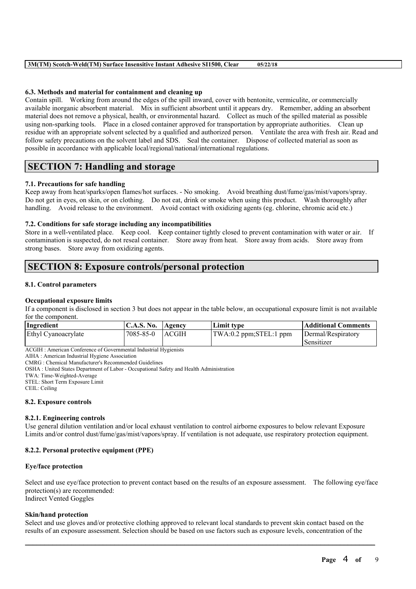## **6.3. Methods and material for containment and cleaning up**

Contain spill. Working from around the edges of the spill inward, cover with bentonite, vermiculite, or commercially available inorganic absorbent material. Mix in sufficient absorbent until it appears dry. Remember, adding an absorbent material does not remove a physical, health, or environmental hazard. Collect as much of the spilled material as possible using non-sparking tools. Place in a closed container approved for transportation by appropriate authorities. Clean up residue with an appropriate solvent selected by a qualified and authorized person. Ventilate the area with fresh air. Read and follow safety precautions on the solvent label and SDS. Seal the container. Dispose of collected material as soon as possible in accordance with applicable local/regional/national/international regulations.

# **SECTION 7: Handling and storage**

## **7.1. Precautions for safe handling**

Keep away from heat/sparks/open flames/hot surfaces. - No smoking. Avoid breathing dust/fume/gas/mist/vapors/spray. Do not get in eyes, on skin, or on clothing. Do not eat, drink or smoke when using this product. Wash thoroughly after handling. Avoid release to the environment. Avoid contact with oxidizing agents (eg. chlorine, chromic acid etc.)

#### **7.2. Conditions for safe storage including any incompatibilities**

Store in a well-ventilated place. Keep cool. Keep container tightly closed to prevent contamination with water or air. If contamination is suspected, do not reseal container. Store away from heat. Store away from acids. Store away from strong bases. Store away from oxidizing agents.

## **SECTION 8: Exposure controls/personal protection**

#### **8.1. Control parameters**

#### **Occupational exposure limits**

If a component is disclosed in section 3 but does not appear in the table below, an occupational exposure limit is not available for the component.

| Ingredient          | C.A.S. No. Agency |               | Limit type             | Additional Comments |
|---------------------|-------------------|---------------|------------------------|---------------------|
| Ethyl Cyanoacrylate | 17085-85-0        | <b>LACGIH</b> | TWA:0.2 ppm;STEL:1 ppm | Dermal/Respiratory  |
|                     |                   |               |                        | Sensitizer          |

ACGIH : American Conference of Governmental Industrial Hygienists

AIHA : American Industrial Hygiene Association

CMRG : Chemical Manufacturer's Recommended Guidelines

OSHA : United States Department of Labor - Occupational Safety and Health Administration

TWA: Time-Weighted-Average

STEL: Short Term Exposure Limit

CEIL: Ceiling

#### **8.2. Exposure controls**

#### **8.2.1. Engineering controls**

Use general dilution ventilation and/or local exhaust ventilation to control airborne exposures to below relevant Exposure Limits and/or control dust/fume/gas/mist/vapors/spray. If ventilation is not adequate, use respiratory protection equipment.

## **8.2.2. Personal protective equipment (PPE)**

#### **Eye/face protection**

Select and use eye/face protection to prevent contact based on the results of an exposure assessment. The following eye/face protection(s) are recommended: Indirect Vented Goggles

#### **Skin/hand protection**

Select and use gloves and/or protective clothing approved to relevant local standards to prevent skin contact based on the results of an exposure assessment. Selection should be based on use factors such as exposure levels, concentration of the

 $\mathcal{L}_\mathcal{L} = \mathcal{L}_\mathcal{L} = \mathcal{L}_\mathcal{L} = \mathcal{L}_\mathcal{L} = \mathcal{L}_\mathcal{L} = \mathcal{L}_\mathcal{L} = \mathcal{L}_\mathcal{L} = \mathcal{L}_\mathcal{L} = \mathcal{L}_\mathcal{L} = \mathcal{L}_\mathcal{L} = \mathcal{L}_\mathcal{L} = \mathcal{L}_\mathcal{L} = \mathcal{L}_\mathcal{L} = \mathcal{L}_\mathcal{L} = \mathcal{L}_\mathcal{L} = \mathcal{L}_\mathcal{L} = \mathcal{L}_\mathcal{L}$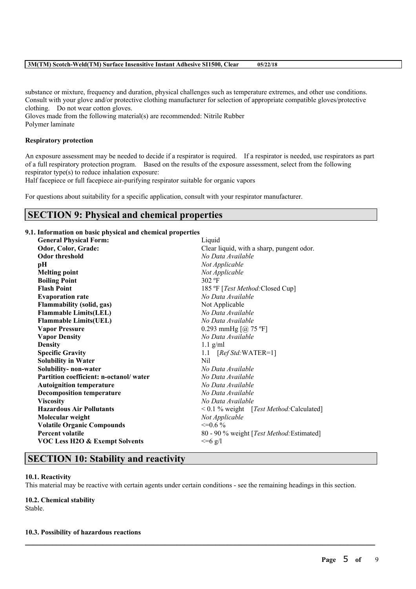substance or mixture, frequency and duration, physical challenges such as temperature extremes, and other use conditions. Consult with your glove and/or protective clothing manufacturer for selection of appropriate compatible gloves/protective clothing. Do not wear cotton gloves.

Gloves made from the following material(s) are recommended: Nitrile Rubber Polymer laminate

#### **Respiratory protection**

An exposure assessment may be needed to decide if a respirator is required. If a respirator is needed, use respirators as part of a full respiratory protection program. Based on the results of the exposure assessment, select from the following respirator type(s) to reduce inhalation exposure:

Half facepiece or full facepiece air-purifying respirator suitable for organic vapors

For questions about suitability for a specific application, consult with your respirator manufacturer.

## **SECTION 9: Physical and chemical properties**

#### **9.1. Information on basic physical and chemical properties**

| <b>General Physical Form:</b>             | Liquid                                        |  |  |
|-------------------------------------------|-----------------------------------------------|--|--|
| Odor, Color, Grade:                       | Clear liquid, with a sharp, pungent odor.     |  |  |
| <b>Odor threshold</b>                     | No Data Available                             |  |  |
| pН                                        | Not Applicable                                |  |  |
| <b>Melting point</b>                      | Not Applicable                                |  |  |
| <b>Boiling Point</b>                      | $302$ °F                                      |  |  |
| <b>Flash Point</b>                        | 185 °F [ <i>Test Method</i> :Closed Cup]      |  |  |
| <b>Evaporation rate</b>                   | No Data Available                             |  |  |
| <b>Flammability (solid, gas)</b>          | Not Applicable                                |  |  |
| <b>Flammable Limits(LEL)</b>              | No Data Available                             |  |  |
| <b>Flammable Limits(UEL)</b>              | No Data Available                             |  |  |
| <b>Vapor Pressure</b>                     | 0.293 mmHg $[@ 75 °F]$                        |  |  |
| <b>Vapor Density</b>                      | No Data Available                             |  |  |
| <b>Density</b>                            | $1.1$ g/ml                                    |  |  |
| <b>Specific Gravity</b>                   | $[RefStd:WATER=1]$<br>1.1                     |  |  |
| <b>Solubility in Water</b>                | Nil                                           |  |  |
| Solubility- non-water                     | No Data Available                             |  |  |
| Partition coefficient: n-octanol/water    | No Data Available                             |  |  |
| <b>Autoignition temperature</b>           | No Data Available                             |  |  |
| <b>Decomposition temperature</b>          | No Data Available                             |  |  |
| <b>Viscosity</b>                          | No Data Available                             |  |  |
| <b>Hazardous Air Pollutants</b>           | $\leq$ 0.1 % weight [Test Method: Calculated] |  |  |
| Molecular weight                          | Not Applicable                                |  |  |
| <b>Volatile Organic Compounds</b>         | $\leq$ =0.6 %                                 |  |  |
| <b>Percent volatile</b>                   | 80 - 90 % weight [Test Method: Estimated]     |  |  |
| <b>VOC Less H2O &amp; Exempt Solvents</b> | $\leq -6$ g/l                                 |  |  |

# **SECTION 10: Stability and reactivity**

#### **10.1. Reactivity**

This material may be reactive with certain agents under certain conditions - see the remaining headings in this section.

 $\mathcal{L}_\mathcal{L} = \mathcal{L}_\mathcal{L} = \mathcal{L}_\mathcal{L} = \mathcal{L}_\mathcal{L} = \mathcal{L}_\mathcal{L} = \mathcal{L}_\mathcal{L} = \mathcal{L}_\mathcal{L} = \mathcal{L}_\mathcal{L} = \mathcal{L}_\mathcal{L} = \mathcal{L}_\mathcal{L} = \mathcal{L}_\mathcal{L} = \mathcal{L}_\mathcal{L} = \mathcal{L}_\mathcal{L} = \mathcal{L}_\mathcal{L} = \mathcal{L}_\mathcal{L} = \mathcal{L}_\mathcal{L} = \mathcal{L}_\mathcal{L}$ 

## **10.2. Chemical stability**

Stable.

## **10.3. Possibility of hazardous reactions**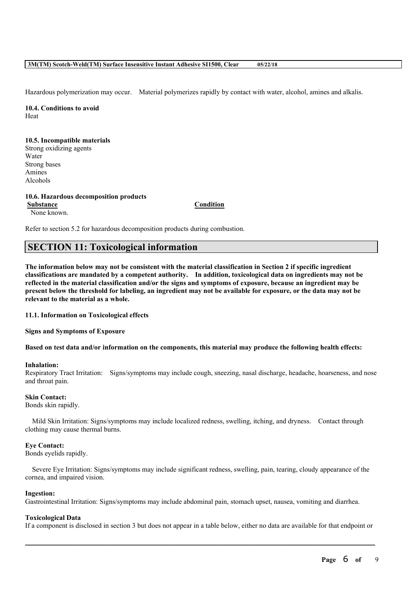Hazardous polymerization may occur. Material polymerizes rapidly by contact with water, alcohol, amines and alkalis.

**10.4. Conditions to avoid** Heat

## **10.5. Incompatible materials**

Strong oxidizing agents Water Strong bases Amines Alcohols

#### **10.6. Hazardous decomposition products**

**Substance Condition** None known.

Refer to section 5.2 for hazardous decomposition products during combustion.

# **SECTION 11: Toxicological information**

The information below may not be consistent with the material classification in Section 2 if specific ingredient **classifications are mandated by a competent authority. In addition, toxicological data on ingredients may not be** reflected in the material classification and/or the signs and symptoms of exposure, because an ingredient may be present below the threshold for labeling, an ingredient may not be available for exposure, or the data may not be **relevant to the material as a whole.**

## **11.1. Information on Toxicological effects**

**Signs and Symptoms of Exposure**

Based on test data and/or information on the components, this material may produce the following health effects:

#### **Inhalation:**

Respiratory Tract Irritation: Signs/symptoms may include cough, sneezing, nasal discharge, headache, hoarseness, and nose and throat pain.

#### **Skin Contact:**

Bonds skin rapidly.

Mild Skin Irritation: Signs/symptoms may include localized redness, swelling, itching, and dryness. Contact through clothing may cause thermal burns.

#### **Eye Contact:**

Bonds eyelids rapidly.

Severe Eye Irritation: Signs/symptoms may include significant redness, swelling, pain, tearing, cloudy appearance of the cornea, and impaired vision.

#### **Ingestion:**

Gastrointestinal Irritation: Signs/symptoms may include abdominal pain, stomach upset, nausea, vomiting and diarrhea.

#### **Toxicological Data**

If a component is disclosed in section 3 but does not appear in a table below, either no data are available for that endpoint or

 $\mathcal{L}_\mathcal{L} = \mathcal{L}_\mathcal{L} = \mathcal{L}_\mathcal{L} = \mathcal{L}_\mathcal{L} = \mathcal{L}_\mathcal{L} = \mathcal{L}_\mathcal{L} = \mathcal{L}_\mathcal{L} = \mathcal{L}_\mathcal{L} = \mathcal{L}_\mathcal{L} = \mathcal{L}_\mathcal{L} = \mathcal{L}_\mathcal{L} = \mathcal{L}_\mathcal{L} = \mathcal{L}_\mathcal{L} = \mathcal{L}_\mathcal{L} = \mathcal{L}_\mathcal{L} = \mathcal{L}_\mathcal{L} = \mathcal{L}_\mathcal{L}$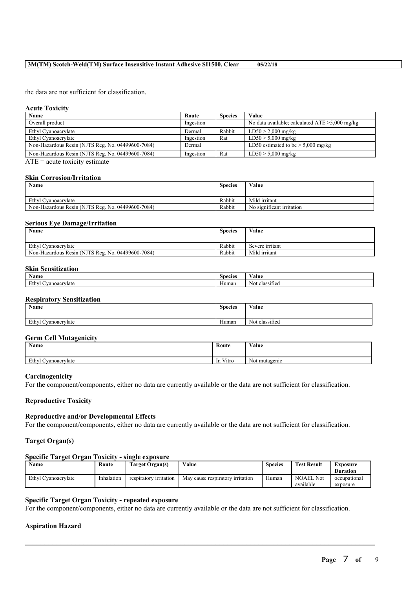the data are not sufficient for classification.

#### **Acute Toxicity**

| Name                                              | Route     | <b>Species</b> | Value                                             |
|---------------------------------------------------|-----------|----------------|---------------------------------------------------|
| Overall product                                   | Ingestion |                | No data available; calculated $ATE > 5,000$ mg/kg |
| Ethyl Cyanoacrylate                               | Dermal    | Rabbit         | $LD50 > 2,000$ mg/kg                              |
| Ethyl Cyanoacrylate                               | Ingestion | Rat            | $LD50 > 5,000$ mg/kg                              |
| Non-Hazardous Resin (NJTS Reg. No. 04499600-7084) | Dermal    |                | LD50 estimated to be $> 5,000$ mg/kg              |
| Non-Hazardous Resin (NJTS Reg. No. 04499600-7084) | Ingestion | Rat            | $LD50 > 5,000$ mg/kg                              |

ATE = acute toxicity estimate

#### **Skin Corrosion/Irritation**

| Name                                              | <b>Species</b> | Value                     |
|---------------------------------------------------|----------------|---------------------------|
| Ethyl Cyanoacrylate                               | Rabbit         | Mild irritant             |
| Non-Hazardous Resin (NJTS Reg. No. 04499600-7084) | Rabbit         | No significant irritation |

#### **Serious Eye Damage/Irritation**

| Name                                              | <b>Species</b> | Value           |
|---------------------------------------------------|----------------|-----------------|
|                                                   |                |                 |
| Ethyl Cyanoacrylate                               | Rabbit         | Severe irritant |
| Non-Hazardous Resin (NJTS Reg. No. 04499600-7084) | Rabbit         | Mild irritant   |

#### **Skin Sensitization**

| $\mathbf{v}$<br>Name               | $\sim$<br>snecies | 'alue                          |
|------------------------------------|-------------------|--------------------------------|
| Ethy<br>vanoacry<br>1 I C<br>viatt | Human             | $c$ laceitie<br>NOL<br>лаээнтэ |

## **Respiratory Sensitization**

| Name                | <b>Species</b>        | Value                                    |
|---------------------|-----------------------|------------------------------------------|
| Ethyl Cyanoacrylate | $\mathbf{v}$<br>Human | $\sim$<br>$\mathbf{v}$<br>Not classified |

## **Germ Cell Mutagenicity**

| <b>Name</b>         | Route                      | Value         |
|---------------------|----------------------------|---------------|
| Ethyl Cyanoacrylate | <b>TAX</b><br>Vitro<br>-In | Not mutagenic |

#### **Carcinogenicity**

For the component/components, either no data are currently available or the data are not sufficient for classification.

#### **Reproductive Toxicity**

## **Reproductive and/or Developmental Effects**

For the component/components, either no data are currently available or the data are not sufficient for classification.

## **Target Organ(s)**

#### **Specific Target Organ Toxicity - single exposure**

| Name                | Route      | <b>Target Organ(s)</b> | Value                            | <b>Species</b> | <b>Test Result</b>            | Exposure<br><b>Duration</b> |
|---------------------|------------|------------------------|----------------------------------|----------------|-------------------------------|-----------------------------|
| Ethyl Cyanoacrylate | Inhalation | respiratory irritation | May cause respiratory irritation | Human          | <b>NOAEL Not</b><br>available | occupational<br>exposure    |

 $\mathcal{L}_\mathcal{L} = \mathcal{L}_\mathcal{L} = \mathcal{L}_\mathcal{L} = \mathcal{L}_\mathcal{L} = \mathcal{L}_\mathcal{L} = \mathcal{L}_\mathcal{L} = \mathcal{L}_\mathcal{L} = \mathcal{L}_\mathcal{L} = \mathcal{L}_\mathcal{L} = \mathcal{L}_\mathcal{L} = \mathcal{L}_\mathcal{L} = \mathcal{L}_\mathcal{L} = \mathcal{L}_\mathcal{L} = \mathcal{L}_\mathcal{L} = \mathcal{L}_\mathcal{L} = \mathcal{L}_\mathcal{L} = \mathcal{L}_\mathcal{L}$ 

#### **Specific Target Organ Toxicity - repeated exposure**

For the component/components, either no data are currently available or the data are not sufficient for classification.

#### **Aspiration Hazard**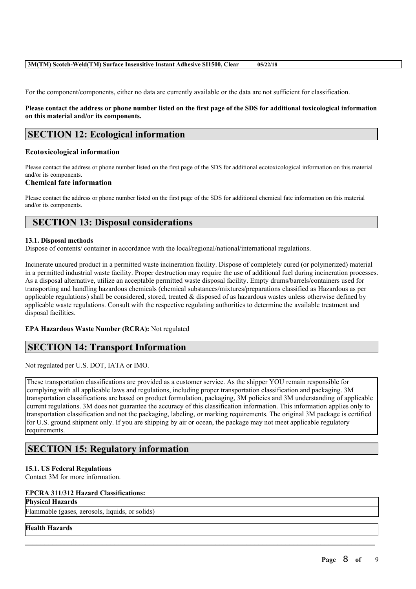For the component/components, either no data are currently available or the data are not sufficient for classification.

## Please contact the address or phone number listed on the first page of the SDS for additional toxicological information **on this material and/or its components.**

# **SECTION 12: Ecological information**

## **Ecotoxicological information**

Please contact the address or phone number listed on the first page of the SDS for additional ecotoxicological information on this material and/or its components.

## **Chemical fate information**

Please contact the address or phone number listed on the first page of the SDS for additional chemical fate information on this material and/or its components.

## **SECTION 13: Disposal considerations**

#### **13.1. Disposal methods**

Dispose of contents/ container in accordance with the local/regional/national/international regulations.

Incinerate uncured product in a permitted waste incineration facility. Dispose of completely cured (or polymerized) material in a permitted industrial waste facility. Proper destruction may require the use of additional fuel during incineration processes. As a disposal alternative, utilize an acceptable permitted waste disposal facility. Empty drums/barrels/containers used for transporting and handling hazardous chemicals (chemical substances/mixtures/preparations classified as Hazardous as per applicable regulations) shall be considered, stored, treated  $\&$  disposed of as hazardous wastes unless otherwise defined by applicable waste regulations. Consult with the respective regulating authorities to determine the available treatment and disposal facilities.

## **EPA Hazardous Waste Number (RCRA):** Not regulated

# **SECTION 14: Transport Information**

Not regulated per U.S. DOT, IATA or IMO.

These transportation classifications are provided as a customer service. As the shipper YOU remain responsible for complying with all applicable laws and regulations, including proper transportation classification and packaging. 3M transportation classifications are based on product formulation, packaging, 3M policies and 3M understanding of applicable current regulations. 3M does not guarantee the accuracy of this classification information. This information applies only to transportation classification and not the packaging, labeling, or marking requirements. The original 3M package is certified for U.S. ground shipment only. If you are shipping by air or ocean, the package may not meet applicable regulatory requirements.

 $\mathcal{L}_\mathcal{L} = \mathcal{L}_\mathcal{L} = \mathcal{L}_\mathcal{L} = \mathcal{L}_\mathcal{L} = \mathcal{L}_\mathcal{L} = \mathcal{L}_\mathcal{L} = \mathcal{L}_\mathcal{L} = \mathcal{L}_\mathcal{L} = \mathcal{L}_\mathcal{L} = \mathcal{L}_\mathcal{L} = \mathcal{L}_\mathcal{L} = \mathcal{L}_\mathcal{L} = \mathcal{L}_\mathcal{L} = \mathcal{L}_\mathcal{L} = \mathcal{L}_\mathcal{L} = \mathcal{L}_\mathcal{L} = \mathcal{L}_\mathcal{L}$ 

# **SECTION 15: Regulatory information**

## **15.1. US Federal Regulations**

Contact 3M for more information.

## **EPCRA 311/312 Hazard Classifications:**

## **Physical Hazards**

Flammable (gases, aerosols, liquids, or solids)

## **Health Hazards**